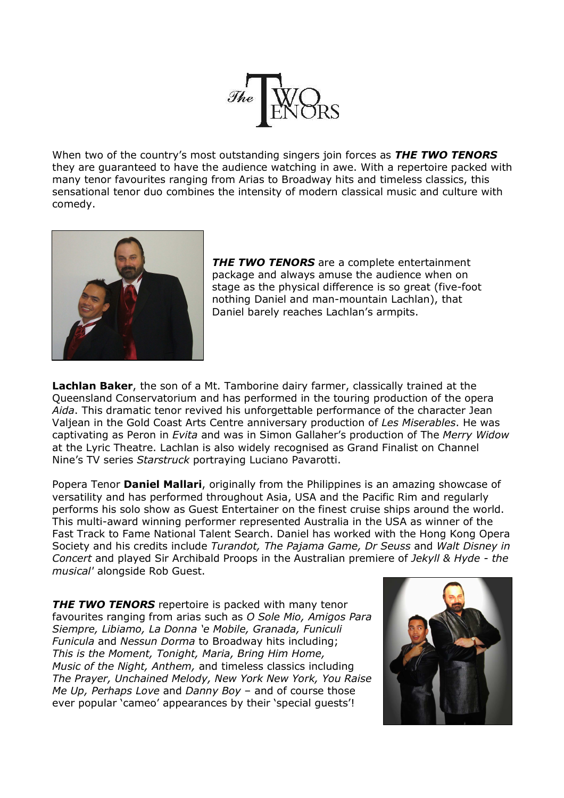

When two of the country's most outstanding singers join forces as *THE TWO TENORS* they are guaranteed to have the audience watching in awe. With a repertoire packed with many tenor favourites ranging from Arias to Broadway hits and timeless classics, this sensational tenor duo combines the intensity of modern classical music and culture with comedy.



*THE TWO TENORS* are a complete entertainment package and always amuse the audience when on stage as the physical difference is so great (five-foot nothing Daniel and man-mountain Lachlan), that Daniel barely reaches Lachlan's armpits.

**Lachlan Baker**, the son of a Mt. Tamborine dairy farmer, classically trained at the Queensland Conservatorium and has performed in the touring production of the opera *Aida*. This dramatic tenor revived his unforgettable performance of the character Jean Valjean in the Gold Coast Arts Centre anniversary production of *Les Miserables*. He was captivating as Peron in *Evita* and was in Simon Gallaher's production of The *Merry Widow* at the Lyric Theatre. Lachlan is also widely recognised as Grand Finalist on Channel Nine's TV series *Starstruck* portraying Luciano Pavarotti.

Popera Tenor **Daniel Mallari**, originally from the Philippines is an amazing showcase of versatility and has performed throughout Asia, USA and the Pacific Rim and regularly performs his solo show as Guest Entertainer on the finest cruise ships around the world. This multi-award winning performer represented Australia in the USA as winner of the Fast Track to Fame National Talent Search. Daniel has worked with the Hong Kong Opera Society and his credits include *Turandot, The Pajama Game, Dr Seuss* and *Walt Disney in Concert* and played Sir Archibald Proops in the Australian premiere of *Jekyll & Hyde - the musical'* alongside Rob Guest.

**THE TWO TENORS** repertoire is packed with many tenor favourites ranging from arias such as *O Sole Mio, Amigos Para Siempre, Libiamo, La Donna 'e Mobile, Granada, Funiculi Funicula* and *Nessun Dorma* to Broadway hits including; *This is the Moment, Tonight, Maria, Bring Him Home, Music of the Night, Anthem,* and timeless classics including *The Prayer, Unchained Melody, New York New York, You Raise Me Up, Perhaps Love* and *Danny Boy* – and of course those ever popular 'cameo' appearances by their 'special guests'!